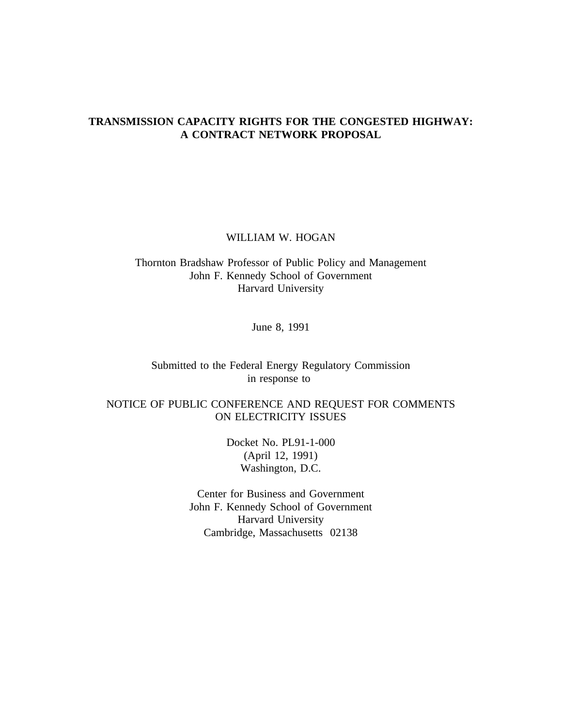# **TRANSMISSION CAPACITY RIGHTS FOR THE CONGESTED HIGHWAY: A CONTRACT NETWORK PROPOSAL**

WILLIAM W. HOGAN

Thornton Bradshaw Professor of Public Policy and Management John F. Kennedy School of Government Harvard University

June 8, 1991

Submitted to the Federal Energy Regulatory Commission in response to

NOTICE OF PUBLIC CONFERENCE AND REQUEST FOR COMMENTS ON ELECTRICITY ISSUES

> Docket No. PL91-1-000 (April 12, 1991) Washington, D.C.

Center for Business and Government John F. Kennedy School of Government Harvard University Cambridge, Massachusetts 02138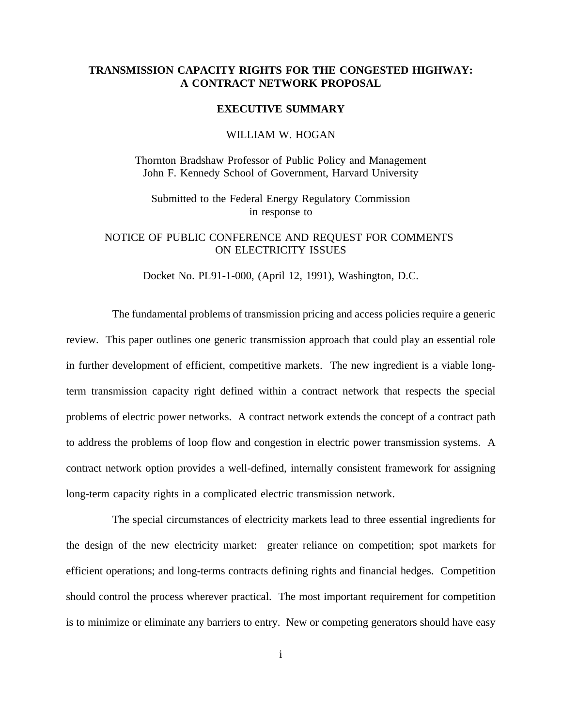# **TRANSMISSION CAPACITY RIGHTS FOR THE CONGESTED HIGHWAY: A CONTRACT NETWORK PROPOSAL**

#### **EXECUTIVE SUMMARY**

#### WILLIAM W. HOGAN

Thornton Bradshaw Professor of Public Policy and Management John F. Kennedy School of Government, Harvard University

Submitted to the Federal Energy Regulatory Commission in response to

# NOTICE OF PUBLIC CONFERENCE AND REQUEST FOR COMMENTS ON ELECTRICITY ISSUES

Docket No. PL91-1-000, (April 12, 1991), Washington, D.C.

The fundamental problems of transmission pricing and access policies require a generic review. This paper outlines one generic transmission approach that could play an essential role in further development of efficient, competitive markets. The new ingredient is a viable longterm transmission capacity right defined within a contract network that respects the special problems of electric power networks. A contract network extends the concept of a contract path to address the problems of loop flow and congestion in electric power transmission systems. A contract network option provides a well-defined, internally consistent framework for assigning long-term capacity rights in a complicated electric transmission network.

The special circumstances of electricity markets lead to three essential ingredients for the design of the new electricity market: greater reliance on competition; spot markets for efficient operations; and long-terms contracts defining rights and financial hedges. Competition should control the process wherever practical. The most important requirement for competition is to minimize or eliminate any barriers to entry. New or competing generators should have easy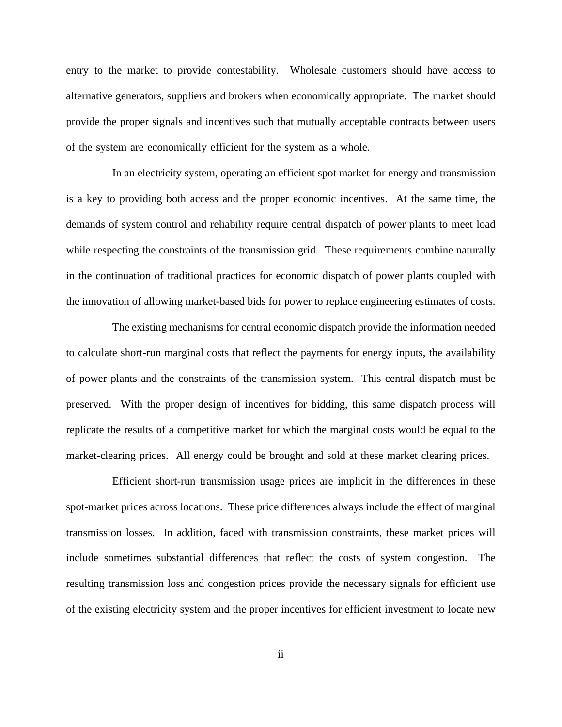entry to the market to provide contestability. Wholesale customers should have access to alternative generators, suppliers and brokers when economically appropriate. The market should provide the proper signals and incentives such that mutually acceptable contracts between users of the system are economically efficient for the system as a whole.

In an electricity system, operating an efficient spot market for energy and transmission is a key to providing both access and the proper economic incentives. At the same time, the demands of system control and reliability require central dispatch of power plants to meet load while respecting the constraints of the transmission grid. These requirements combine naturally in the continuation of traditional practices for economic dispatch of power plants coupled with the innovation of allowing market-based bids for power to replace engineering estimates of costs.

The existing mechanisms for central economic dispatch provide the information needed to calculate short-run marginal costs that reflect the payments for energy inputs, the availability of power plants and the constraints of the transmission system. This central dispatch must be preserved. With the proper design of incentives for bidding, this same dispatch process will replicate the results of a competitive market for which the marginal costs would be equal to the market-clearing prices. All energy could be brought and sold at these market clearing prices.

Efficient short-run transmission usage prices are implicit in the differences in these spot-market prices across locations. These price differences always include the effect of marginal transmission losses. In addition, faced with transmission constraints, these market prices will include sometimes substantial differences that reflect the costs of system congestion. The resulting transmission loss and congestion prices provide the necessary signals for efficient use of the existing electricity system and the proper incentives for efficient investment to locate new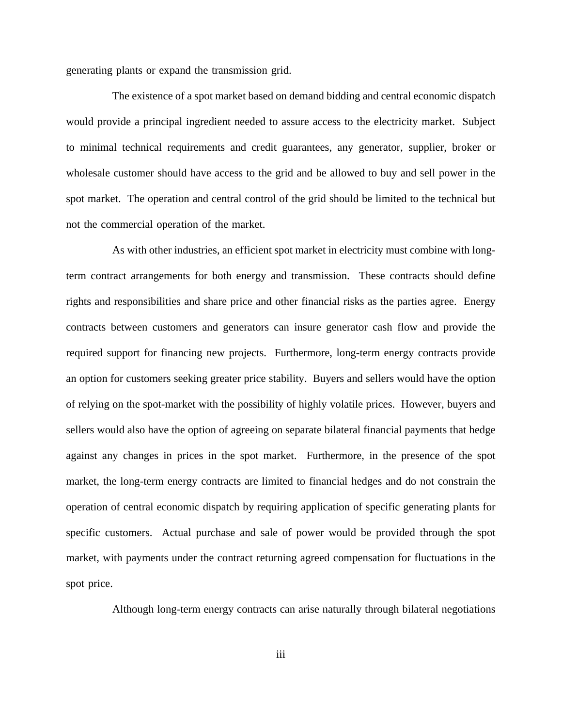generating plants or expand the transmission grid.

The existence of a spot market based on demand bidding and central economic dispatch would provide a principal ingredient needed to assure access to the electricity market. Subject to minimal technical requirements and credit guarantees, any generator, supplier, broker or wholesale customer should have access to the grid and be allowed to buy and sell power in the spot market. The operation and central control of the grid should be limited to the technical but not the commercial operation of the market.

As with other industries, an efficient spot market in electricity must combine with longterm contract arrangements for both energy and transmission. These contracts should define rights and responsibilities and share price and other financial risks as the parties agree. Energy contracts between customers and generators can insure generator cash flow and provide the required support for financing new projects. Furthermore, long-term energy contracts provide an option for customers seeking greater price stability. Buyers and sellers would have the option of relying on the spot-market with the possibility of highly volatile prices. However, buyers and sellers would also have the option of agreeing on separate bilateral financial payments that hedge against any changes in prices in the spot market. Furthermore, in the presence of the spot market, the long-term energy contracts are limited to financial hedges and do not constrain the operation of central economic dispatch by requiring application of specific generating plants for specific customers. Actual purchase and sale of power would be provided through the spot market, with payments under the contract returning agreed compensation for fluctuations in the spot price.

Although long-term energy contracts can arise naturally through bilateral negotiations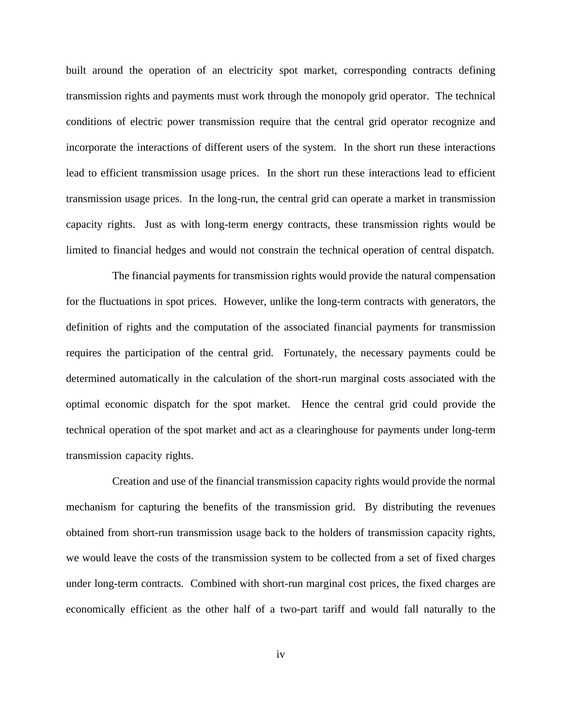built around the operation of an electricity spot market, corresponding contracts defining transmission rights and payments must work through the monopoly grid operator. The technical conditions of electric power transmission require that the central grid operator recognize and incorporate the interactions of different users of the system. In the short run these interactions lead to efficient transmission usage prices. In the short run these interactions lead to efficient transmission usage prices. In the long-run, the central grid can operate a market in transmission capacity rights. Just as with long-term energy contracts, these transmission rights would be limited to financial hedges and would not constrain the technical operation of central dispatch.

The financial payments for transmission rights would provide the natural compensation for the fluctuations in spot prices. However, unlike the long-term contracts with generators, the definition of rights and the computation of the associated financial payments for transmission requires the participation of the central grid. Fortunately, the necessary payments could be determined automatically in the calculation of the short-run marginal costs associated with the optimal economic dispatch for the spot market. Hence the central grid could provide the technical operation of the spot market and act as a clearinghouse for payments under long-term transmission capacity rights.

Creation and use of the financial transmission capacity rights would provide the normal mechanism for capturing the benefits of the transmission grid. By distributing the revenues obtained from short-run transmission usage back to the holders of transmission capacity rights, we would leave the costs of the transmission system to be collected from a set of fixed charges under long-term contracts. Combined with short-run marginal cost prices, the fixed charges are economically efficient as the other half of a two-part tariff and would fall naturally to the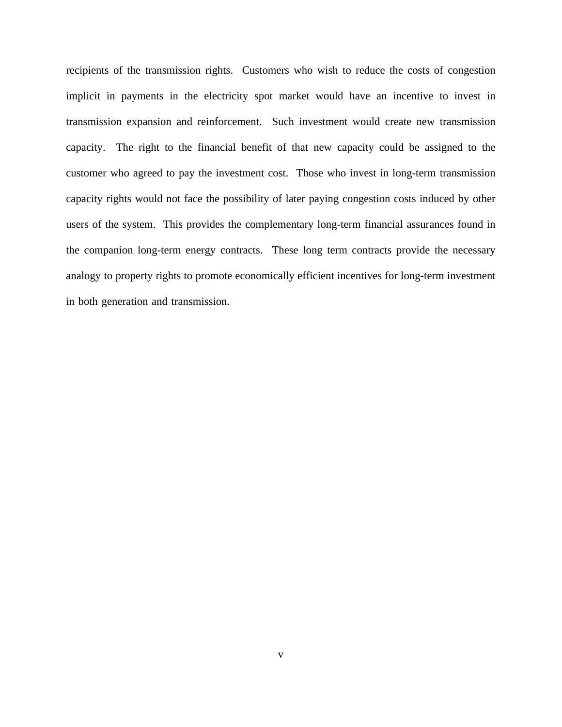recipients of the transmission rights. Customers who wish to reduce the costs of congestion implicit in payments in the electricity spot market would have an incentive to invest in transmission expansion and reinforcement. Such investment would create new transmission capacity. The right to the financial benefit of that new capacity could be assigned to the customer who agreed to pay the investment cost. Those who invest in long-term transmission capacity rights would not face the possibility of later paying congestion costs induced by other users of the system. This provides the complementary long-term financial assurances found in the companion long-term energy contracts. These long term contracts provide the necessary analogy to property rights to promote economically efficient incentives for long-term investment in both generation and transmission.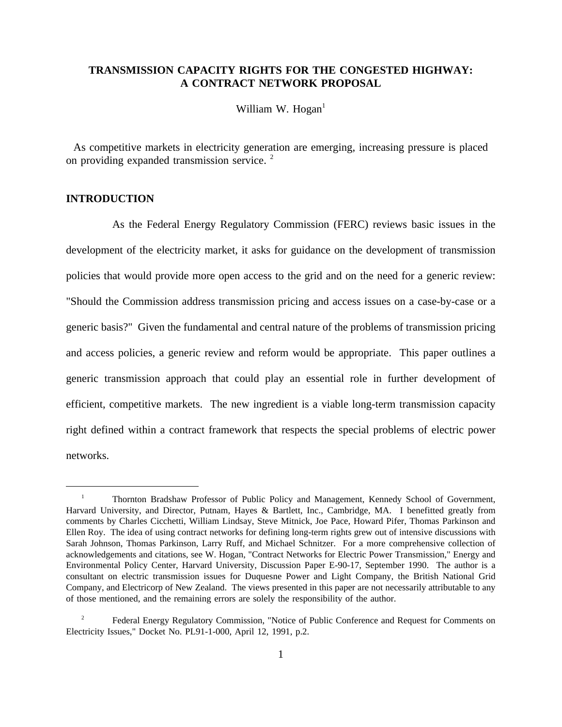# **TRANSMISSION CAPACITY RIGHTS FOR THE CONGESTED HIGHWAY: A CONTRACT NETWORK PROPOSAL**

William W. Hogan $<sup>1</sup>$ </sup>

As competitive markets in electricity generation are emerging, increasing pressure is placed on providing expanded transmission service. <sup>2</sup>

# **INTRODUCTION**

As the Federal Energy Regulatory Commission (FERC) reviews basic issues in the development of the electricity market, it asks for guidance on the development of transmission policies that would provide more open access to the grid and on the need for a generic review: "Should the Commission address transmission pricing and access issues on a case-by-case or a generic basis?" Given the fundamental and central nature of the problems of transmission pricing and access policies, a generic review and reform would be appropriate. This paper outlines a generic transmission approach that could play an essential role in further development of efficient, competitive markets. The new ingredient is a viable long-term transmission capacity right defined within a contract framework that respects the special problems of electric power networks.

<sup>&</sup>lt;sup>1</sup> Thornton Bradshaw Professor of Public Policy and Management, Kennedy School of Government, Harvard University, and Director, Putnam, Hayes & Bartlett, Inc., Cambridge, MA. I benefitted greatly from comments by Charles Cicchetti, William Lindsay, Steve Mitnick, Joe Pace, Howard Pifer, Thomas Parkinson and Ellen Roy. The idea of using contract networks for defining long-term rights grew out of intensive discussions with Sarah Johnson, Thomas Parkinson, Larry Ruff, and Michael Schnitzer. For a more comprehensive collection of acknowledgements and citations, see W. Hogan, "Contract Networks for Electric Power Transmission," Energy and Environmental Policy Center, Harvard University, Discussion Paper E-90-17, September 1990. The author is a consultant on electric transmission issues for Duquesne Power and Light Company, the British National Grid Company, and Electricorp of New Zealand. The views presented in this paper are not necessarily attributable to any of those mentioned, and the remaining errors are solely the responsibility of the author.

Federal Energy Regulatory Commission, "Notice of Public Conference and Request for Comments on Electricity Issues," Docket No. PL91-1-000, April 12, 1991, p.2.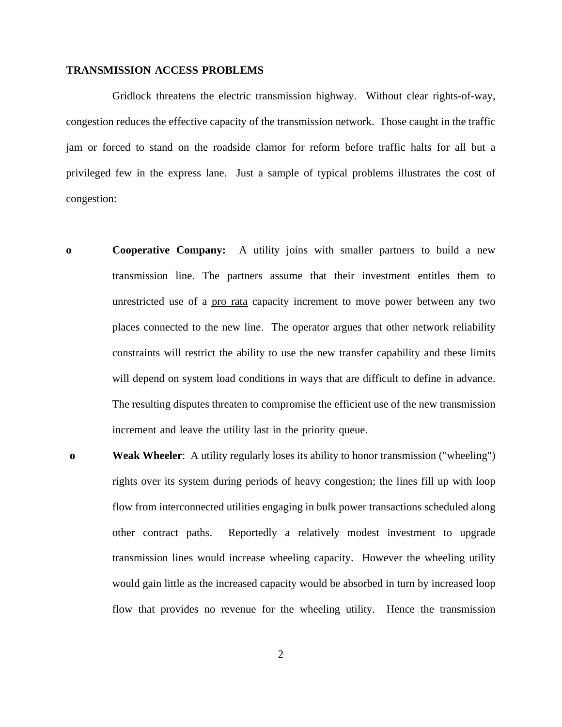### **TRANSMISSION ACCESS PROBLEMS**

Gridlock threatens the electric transmission highway. Without clear rights-of-way, congestion reduces the effective capacity of the transmission network. Those caught in the traffic jam or forced to stand on the roadside clamor for reform before traffic halts for all but a privileged few in the express lane. Just a sample of typical problems illustrates the cost of congestion:

- **o Cooperative Company:** A utility joins with smaller partners to build a new transmission line. The partners assume that their investment entitles them to unrestricted use of a pro rata capacity increment to move power between any two places connected to the new line. The operator argues that other network reliability constraints will restrict the ability to use the new transfer capability and these limits will depend on system load conditions in ways that are difficult to define in advance. The resulting disputes threaten to compromise the efficient use of the new transmission increment and leave the utility last in the priority queue.
- **o Weak Wheeler**: A utility regularly loses its ability to honor transmission ("wheeling") rights over its system during periods of heavy congestion; the lines fill up with loop flow from interconnected utilities engaging in bulk power transactions scheduled along other contract paths. Reportedly a relatively modest investment to upgrade transmission lines would increase wheeling capacity. However the wheeling utility would gain little as the increased capacity would be absorbed in turn by increased loop flow that provides no revenue for the wheeling utility. Hence the transmission

2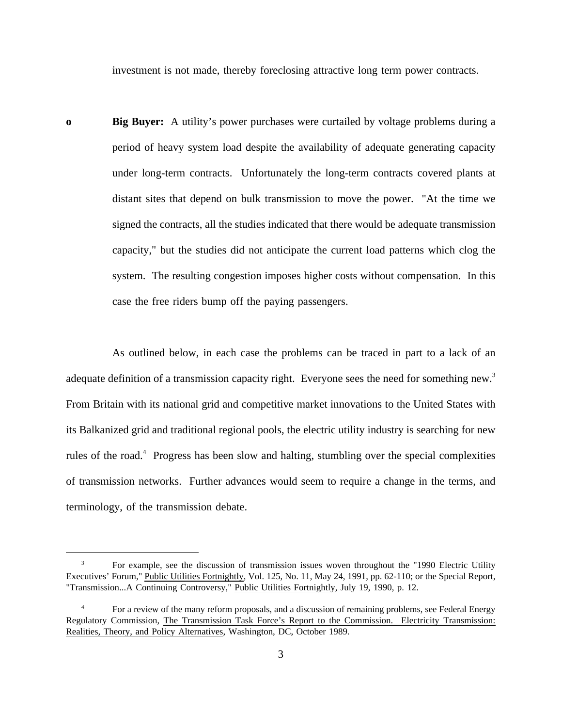investment is not made, thereby foreclosing attractive long term power contracts.

**o** Big Buyer: A utility's power purchases were curtailed by voltage problems during a period of heavy system load despite the availability of adequate generating capacity under long-term contracts. Unfortunately the long-term contracts covered plants at distant sites that depend on bulk transmission to move the power. "At the time we signed the contracts, all the studies indicated that there would be adequate transmission capacity," but the studies did not anticipate the current load patterns which clog the system. The resulting congestion imposes higher costs without compensation. In this case the free riders bump off the paying passengers.

As outlined below, in each case the problems can be traced in part to a lack of an adequate definition of a transmission capacity right. Everyone sees the need for something new.<sup>3</sup> From Britain with its national grid and competitive market innovations to the United States with its Balkanized grid and traditional regional pools, the electric utility industry is searching for new rules of the road.<sup>4</sup> Progress has been slow and halting, stumbling over the special complexities of transmission networks. Further advances would seem to require a change in the terms, and terminology, of the transmission debate.

<sup>3</sup> For example, see the discussion of transmission issues woven throughout the "1990 Electric Utility Executives' Forum," Public Utilities Fortnightly, Vol. 125, No. 11, May 24, 1991, pp. 62-110; or the Special Report, "Transmission...A Continuing Controversy," Public Utilities Fortnightly, July 19, 1990, p. 12.

<sup>&</sup>lt;sup>4</sup> For a review of the many reform proposals, and a discussion of remaining problems, see Federal Energy Regulatory Commission, The Transmission Task Force's Report to the Commission. Electricity Transmission: Realities, Theory, and Policy Alternatives, Washington, DC, October 1989.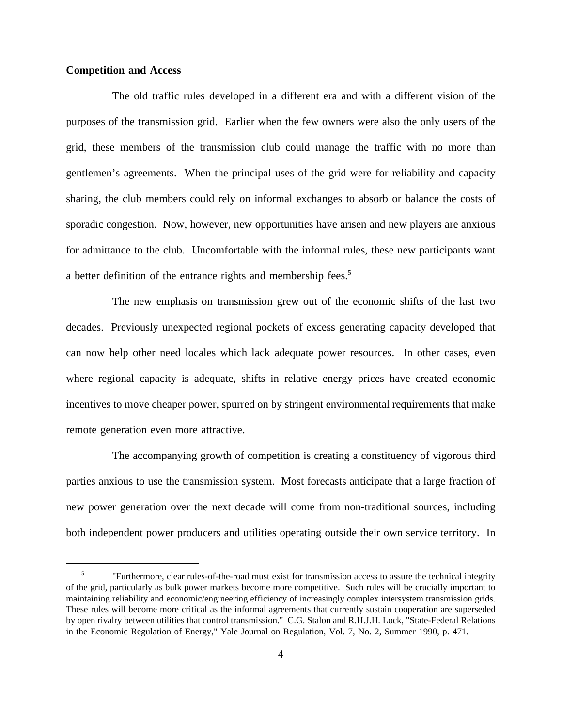## **Competition and Access**

The old traffic rules developed in a different era and with a different vision of the purposes of the transmission grid. Earlier when the few owners were also the only users of the grid, these members of the transmission club could manage the traffic with no more than gentlemen's agreements. When the principal uses of the grid were for reliability and capacity sharing, the club members could rely on informal exchanges to absorb or balance the costs of sporadic congestion. Now, however, new opportunities have arisen and new players are anxious for admittance to the club. Uncomfortable with the informal rules, these new participants want a better definition of the entrance rights and membership fees.<sup>5</sup>

The new emphasis on transmission grew out of the economic shifts of the last two decades. Previously unexpected regional pockets of excess generating capacity developed that can now help other need locales which lack adequate power resources. In other cases, even where regional capacity is adequate, shifts in relative energy prices have created economic incentives to move cheaper power, spurred on by stringent environmental requirements that make remote generation even more attractive.

The accompanying growth of competition is creating a constituency of vigorous third parties anxious to use the transmission system. Most forecasts anticipate that a large fraction of new power generation over the next decade will come from non-traditional sources, including both independent power producers and utilities operating outside their own service territory. In

<sup>&</sup>lt;sup>5</sup> "Furthermore, clear rules-of-the-road must exist for transmission access to assure the technical integrity of the grid, particularly as bulk power markets become more competitive. Such rules will be crucially important to maintaining reliability and economic/engineering efficiency of increasingly complex intersystem transmission grids. These rules will become more critical as the informal agreements that currently sustain cooperation are superseded by open rivalry between utilities that control transmission." C.G. Stalon and R.H.J.H. Lock, "State-Federal Relations in the Economic Regulation of Energy," Yale Journal on Regulation, Vol. 7, No. 2, Summer 1990, p. 471.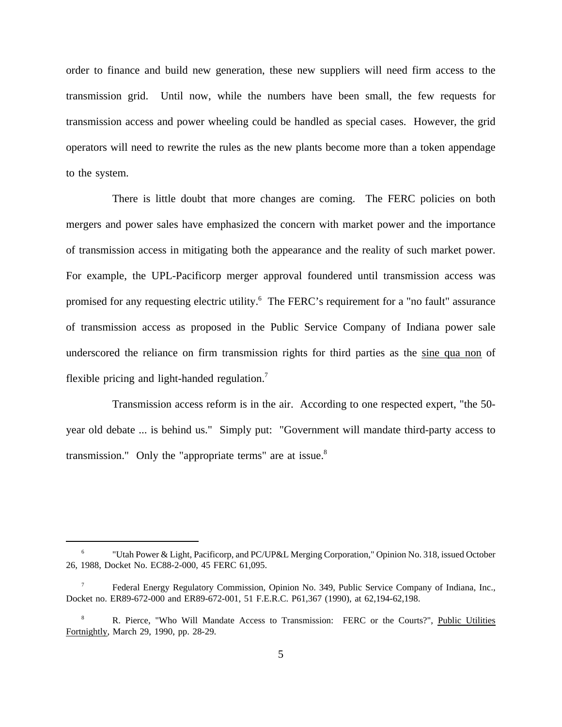order to finance and build new generation, these new suppliers will need firm access to the transmission grid. Until now, while the numbers have been small, the few requests for transmission access and power wheeling could be handled as special cases. However, the grid operators will need to rewrite the rules as the new plants become more than a token appendage to the system.

There is little doubt that more changes are coming. The FERC policies on both mergers and power sales have emphasized the concern with market power and the importance of transmission access in mitigating both the appearance and the reality of such market power. For example, the UPL-Pacificorp merger approval foundered until transmission access was promised for any requesting electric utility.6 The FERC's requirement for a "no fault" assurance of transmission access as proposed in the Public Service Company of Indiana power sale underscored the reliance on firm transmission rights for third parties as the sine qua non of flexible pricing and light-handed regulation.<sup>7</sup>

Transmission access reform is in the air. According to one respected expert, "the 50 year old debate ... is behind us." Simply put: "Government will mandate third-party access to transmission." Only the "appropriate terms" are at issue. $8$ 

<sup>&</sup>quot;Utah Power & Light, Pacificorp, and PC/UP&L Merging Corporation," Opinion No. 318, issued October 26, 1988, Docket No. EC88-2-000, 45 FERC 61,095.

<sup>7</sup> Federal Energy Regulatory Commission, Opinion No. 349, Public Service Company of Indiana, Inc., Docket no. ER89-672-000 and ER89-672-001, 51 F.E.R.C. P61,367 (1990), at 62,194-62,198.

<sup>8</sup> R. Pierce, "Who Will Mandate Access to Transmission: FERC or the Courts?", Public Utilities Fortnightly, March 29, 1990, pp. 28-29.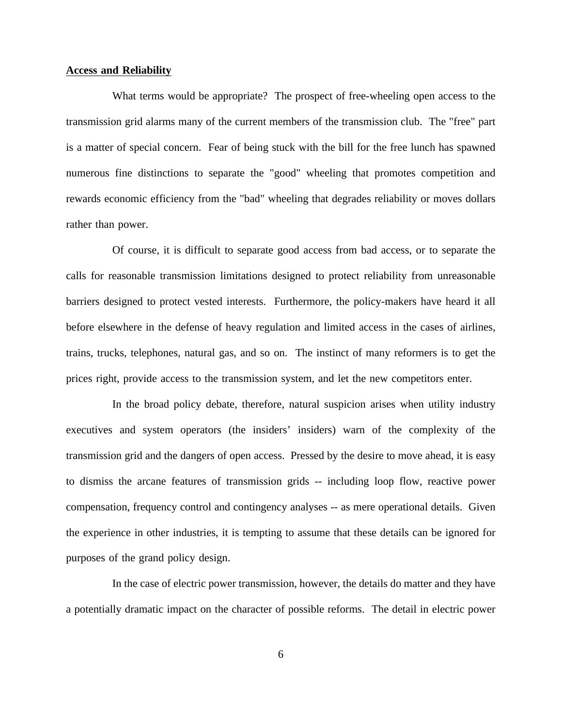### **Access and Reliability**

What terms would be appropriate? The prospect of free-wheeling open access to the transmission grid alarms many of the current members of the transmission club. The "free" part is a matter of special concern. Fear of being stuck with the bill for the free lunch has spawned numerous fine distinctions to separate the "good" wheeling that promotes competition and rewards economic efficiency from the "bad" wheeling that degrades reliability or moves dollars rather than power.

Of course, it is difficult to separate good access from bad access, or to separate the calls for reasonable transmission limitations designed to protect reliability from unreasonable barriers designed to protect vested interests. Furthermore, the policy-makers have heard it all before elsewhere in the defense of heavy regulation and limited access in the cases of airlines, trains, trucks, telephones, natural gas, and so on. The instinct of many reformers is to get the prices right, provide access to the transmission system, and let the new competitors enter.

In the broad policy debate, therefore, natural suspicion arises when utility industry executives and system operators (the insiders' insiders) warn of the complexity of the transmission grid and the dangers of open access. Pressed by the desire to move ahead, it is easy to dismiss the arcane features of transmission grids -- including loop flow, reactive power compensation, frequency control and contingency analyses -- as mere operational details. Given the experience in other industries, it is tempting to assume that these details can be ignored for purposes of the grand policy design.

In the case of electric power transmission, however, the details do matter and they have a potentially dramatic impact on the character of possible reforms. The detail in electric power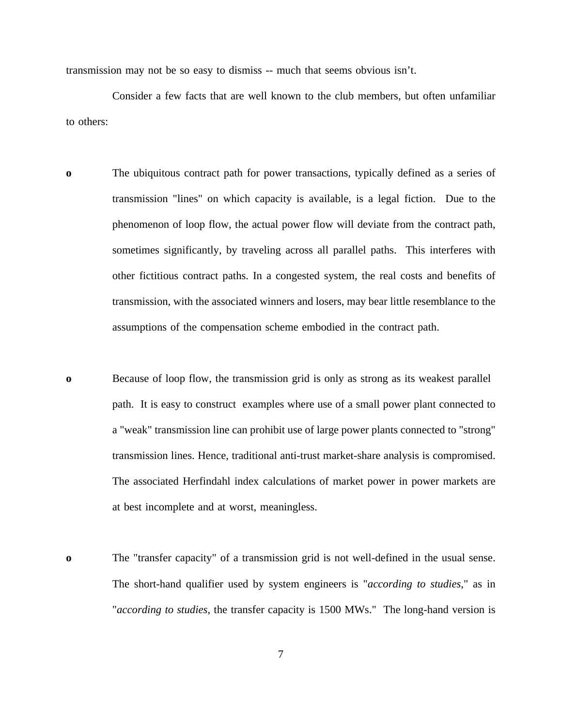transmission may not be so easy to dismiss -- much that seems obvious isn't.

Consider a few facts that are well known to the club members, but often unfamiliar to others:

- **o** The ubiquitous contract path for power transactions, typically defined as a series of transmission "lines" on which capacity is available, is a legal fiction. Due to the phenomenon of loop flow, the actual power flow will deviate from the contract path, sometimes significantly, by traveling across all parallel paths. This interferes with other fictitious contract paths. In a congested system, the real costs and benefits of transmission, with the associated winners and losers, may bear little resemblance to the assumptions of the compensation scheme embodied in the contract path.
- **o** Because of loop flow, the transmission grid is only as strong as its weakest parallel path. It is easy to construct examples where use of a small power plant connected to a "weak" transmission line can prohibit use of large power plants connected to "strong" transmission lines. Hence, traditional anti-trust market-share analysis is compromised. The associated Herfindahl index calculations of market power in power markets are at best incomplete and at worst, meaningless.
- **o** The "transfer capacity" of a transmission grid is not well-defined in the usual sense. The short-hand qualifier used by system engineers is "*according to studies*," as in "*according to studies*, the transfer capacity is 1500 MWs." The long-hand version is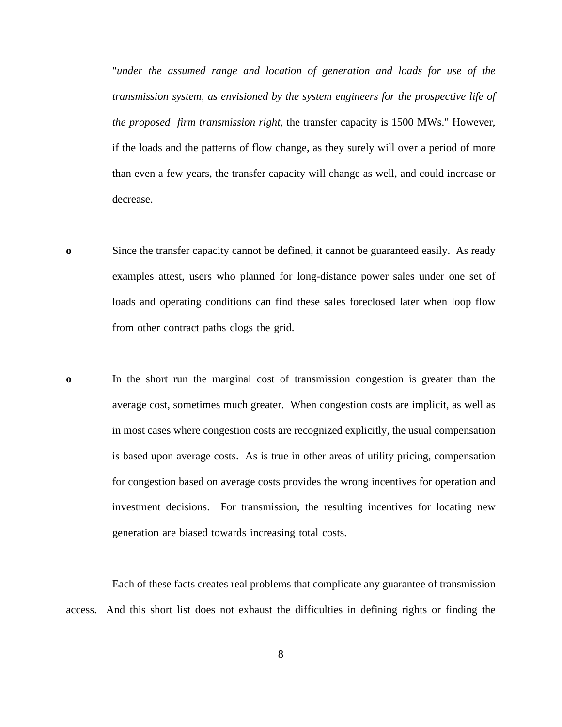"*under the assumed range and location of generation and loads for use of the transmission system, as envisioned by the system engineers for the prospective life of the proposed firm transmission right,* the transfer capacity is 1500 MWs." However, if the loads and the patterns of flow change, as they surely will over a period of more than even a few years, the transfer capacity will change as well, and could increase or decrease.

- **o** Since the transfer capacity cannot be defined, it cannot be guaranteed easily. As ready examples attest, users who planned for long-distance power sales under one set of loads and operating conditions can find these sales foreclosed later when loop flow from other contract paths clogs the grid.
- **o** In the short run the marginal cost of transmission congestion is greater than the average cost, sometimes much greater. When congestion costs are implicit, as well as in most cases where congestion costs are recognized explicitly, the usual compensation is based upon average costs. As is true in other areas of utility pricing, compensation for congestion based on average costs provides the wrong incentives for operation and investment decisions. For transmission, the resulting incentives for locating new generation are biased towards increasing total costs.

Each of these facts creates real problems that complicate any guarantee of transmission access. And this short list does not exhaust the difficulties in defining rights or finding the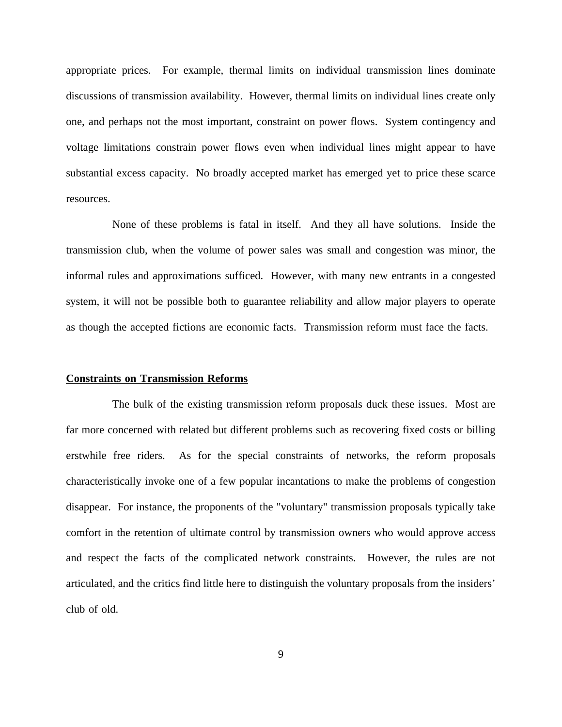appropriate prices. For example, thermal limits on individual transmission lines dominate discussions of transmission availability. However, thermal limits on individual lines create only one, and perhaps not the most important, constraint on power flows. System contingency and voltage limitations constrain power flows even when individual lines might appear to have substantial excess capacity. No broadly accepted market has emerged yet to price these scarce resources.

None of these problems is fatal in itself. And they all have solutions. Inside the transmission club, when the volume of power sales was small and congestion was minor, the informal rules and approximations sufficed. However, with many new entrants in a congested system, it will not be possible both to guarantee reliability and allow major players to operate as though the accepted fictions are economic facts. Transmission reform must face the facts.

#### **Constraints on Transmission Reforms**

The bulk of the existing transmission reform proposals duck these issues. Most are far more concerned with related but different problems such as recovering fixed costs or billing erstwhile free riders. As for the special constraints of networks, the reform proposals characteristically invoke one of a few popular incantations to make the problems of congestion disappear. For instance, the proponents of the "voluntary" transmission proposals typically take comfort in the retention of ultimate control by transmission owners who would approve access and respect the facts of the complicated network constraints. However, the rules are not articulated, and the critics find little here to distinguish the voluntary proposals from the insiders' club of old.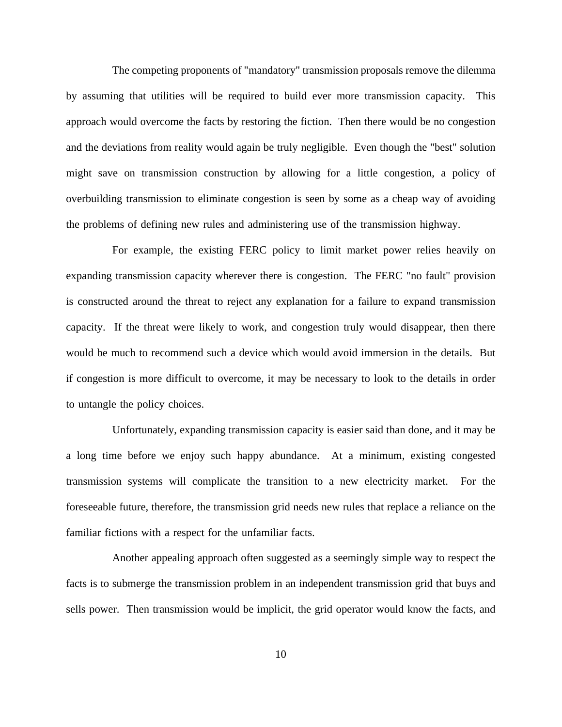The competing proponents of "mandatory" transmission proposals remove the dilemma by assuming that utilities will be required to build ever more transmission capacity. This approach would overcome the facts by restoring the fiction. Then there would be no congestion and the deviations from reality would again be truly negligible. Even though the "best" solution might save on transmission construction by allowing for a little congestion, a policy of overbuilding transmission to eliminate congestion is seen by some as a cheap way of avoiding the problems of defining new rules and administering use of the transmission highway.

For example, the existing FERC policy to limit market power relies heavily on expanding transmission capacity wherever there is congestion. The FERC "no fault" provision is constructed around the threat to reject any explanation for a failure to expand transmission capacity. If the threat were likely to work, and congestion truly would disappear, then there would be much to recommend such a device which would avoid immersion in the details. But if congestion is more difficult to overcome, it may be necessary to look to the details in order to untangle the policy choices.

Unfortunately, expanding transmission capacity is easier said than done, and it may be a long time before we enjoy such happy abundance. At a minimum, existing congested transmission systems will complicate the transition to a new electricity market. For the foreseeable future, therefore, the transmission grid needs new rules that replace a reliance on the familiar fictions with a respect for the unfamiliar facts.

Another appealing approach often suggested as a seemingly simple way to respect the facts is to submerge the transmission problem in an independent transmission grid that buys and sells power. Then transmission would be implicit, the grid operator would know the facts, and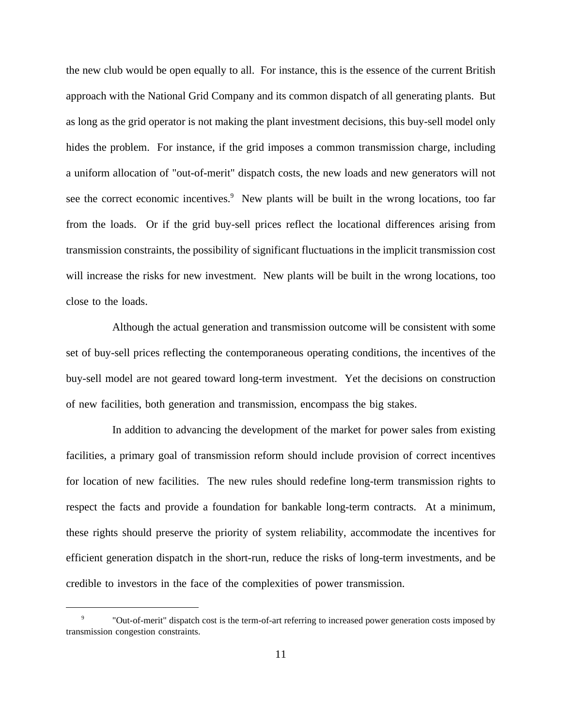the new club would be open equally to all. For instance, this is the essence of the current British approach with the National Grid Company and its common dispatch of all generating plants. But as long as the grid operator is not making the plant investment decisions, this buy-sell model only hides the problem. For instance, if the grid imposes a common transmission charge, including a uniform allocation of "out-of-merit" dispatch costs, the new loads and new generators will not see the correct economic incentives.<sup>9</sup> New plants will be built in the wrong locations, too far from the loads. Or if the grid buy-sell prices reflect the locational differences arising from transmission constraints, the possibility of significant fluctuations in the implicit transmission cost will increase the risks for new investment. New plants will be built in the wrong locations, too close to the loads.

Although the actual generation and transmission outcome will be consistent with some set of buy-sell prices reflecting the contemporaneous operating conditions, the incentives of the buy-sell model are not geared toward long-term investment. Yet the decisions on construction of new facilities, both generation and transmission, encompass the big stakes.

In addition to advancing the development of the market for power sales from existing facilities, a primary goal of transmission reform should include provision of correct incentives for location of new facilities. The new rules should redefine long-term transmission rights to respect the facts and provide a foundation for bankable long-term contracts. At a minimum, these rights should preserve the priority of system reliability, accommodate the incentives for efficient generation dispatch in the short-run, reduce the risks of long-term investments, and be credible to investors in the face of the complexities of power transmission.

<sup>9</sup> "Out-of-merit" dispatch cost is the term-of-art referring to increased power generation costs imposed by transmission congestion constraints.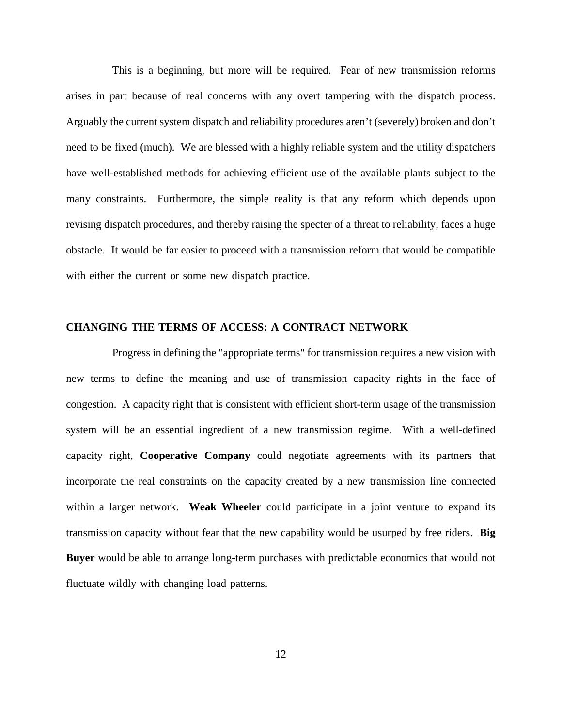This is a beginning, but more will be required. Fear of new transmission reforms arises in part because of real concerns with any overt tampering with the dispatch process. Arguably the current system dispatch and reliability procedures aren't (severely) broken and don't need to be fixed (much). We are blessed with a highly reliable system and the utility dispatchers have well-established methods for achieving efficient use of the available plants subject to the many constraints. Furthermore, the simple reality is that any reform which depends upon revising dispatch procedures, and thereby raising the specter of a threat to reliability, faces a huge obstacle. It would be far easier to proceed with a transmission reform that would be compatible with either the current or some new dispatch practice.

### **CHANGING THE TERMS OF ACCESS: A CONTRACT NETWORK**

Progress in defining the "appropriate terms" for transmission requires a new vision with new terms to define the meaning and use of transmission capacity rights in the face of congestion. A capacity right that is consistent with efficient short-term usage of the transmission system will be an essential ingredient of a new transmission regime. With a well-defined capacity right, **Cooperative Company** could negotiate agreements with its partners that incorporate the real constraints on the capacity created by a new transmission line connected within a larger network. **Weak Wheeler** could participate in a joint venture to expand its transmission capacity without fear that the new capability would be usurped by free riders. **Big Buyer** would be able to arrange long-term purchases with predictable economics that would not fluctuate wildly with changing load patterns.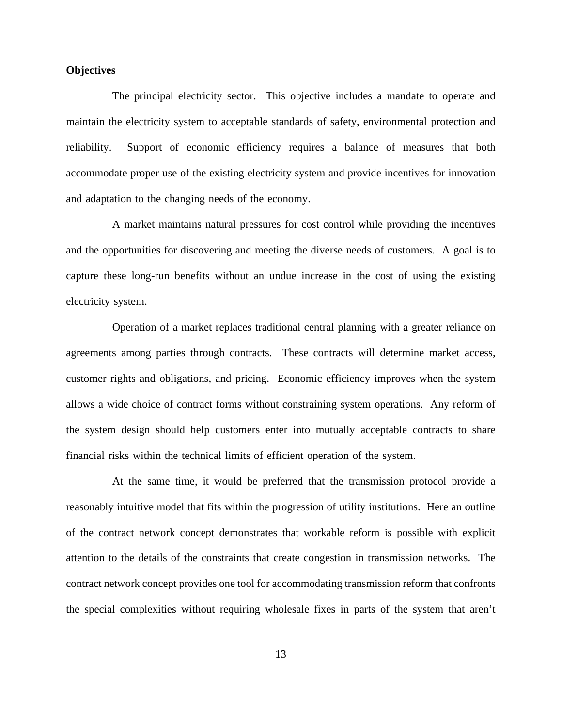# **Objectives**

The principal electricity sector. This objective includes a mandate to operate and maintain the electricity system to acceptable standards of safety, environmental protection and reliability. Support of economic efficiency requires a balance of measures that both accommodate proper use of the existing electricity system and provide incentives for innovation and adaptation to the changing needs of the economy.

A market maintains natural pressures for cost control while providing the incentives and the opportunities for discovering and meeting the diverse needs of customers. A goal is to capture these long-run benefits without an undue increase in the cost of using the existing electricity system.

Operation of a market replaces traditional central planning with a greater reliance on agreements among parties through contracts. These contracts will determine market access, customer rights and obligations, and pricing. Economic efficiency improves when the system allows a wide choice of contract forms without constraining system operations. Any reform of the system design should help customers enter into mutually acceptable contracts to share financial risks within the technical limits of efficient operation of the system.

At the same time, it would be preferred that the transmission protocol provide a reasonably intuitive model that fits within the progression of utility institutions. Here an outline of the contract network concept demonstrates that workable reform is possible with explicit attention to the details of the constraints that create congestion in transmission networks. The contract network concept provides one tool for accommodating transmission reform that confronts the special complexities without requiring wholesale fixes in parts of the system that aren't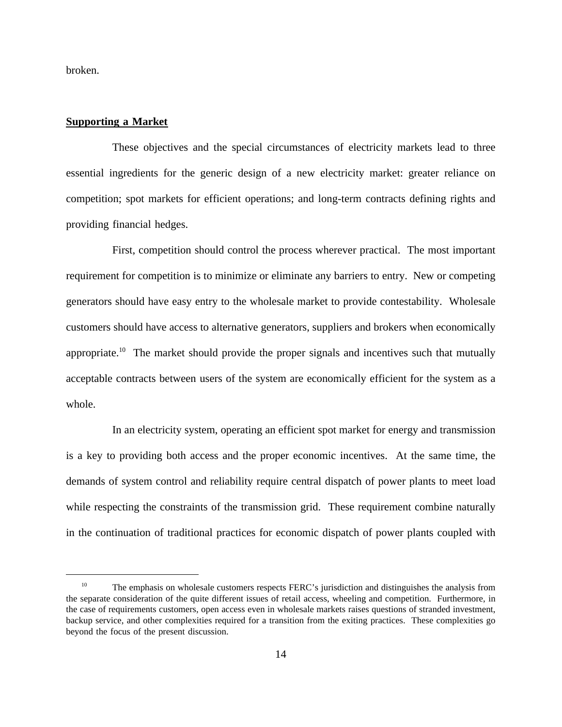broken.

#### **Supporting a Market**

These objectives and the special circumstances of electricity markets lead to three essential ingredients for the generic design of a new electricity market: greater reliance on competition; spot markets for efficient operations; and long-term contracts defining rights and providing financial hedges.

First, competition should control the process wherever practical. The most important requirement for competition is to minimize or eliminate any barriers to entry. New or competing generators should have easy entry to the wholesale market to provide contestability. Wholesale customers should have access to alternative generators, suppliers and brokers when economically appropriate.<sup>10</sup> The market should provide the proper signals and incentives such that mutually acceptable contracts between users of the system are economically efficient for the system as a whole.

In an electricity system, operating an efficient spot market for energy and transmission is a key to providing both access and the proper economic incentives. At the same time, the demands of system control and reliability require central dispatch of power plants to meet load while respecting the constraints of the transmission grid. These requirement combine naturally in the continuation of traditional practices for economic dispatch of power plants coupled with

<sup>&</sup>lt;sup>10</sup> The emphasis on wholesale customers respects FERC's jurisdiction and distinguishes the analysis from the separate consideration of the quite different issues of retail access, wheeling and competition. Furthermore, in the case of requirements customers, open access even in wholesale markets raises questions of stranded investment, backup service, and other complexities required for a transition from the exiting practices. These complexities go beyond the focus of the present discussion.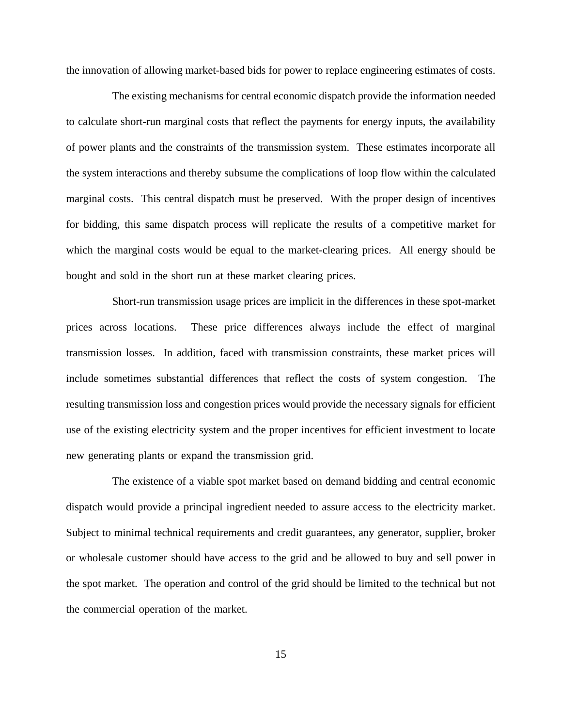the innovation of allowing market-based bids for power to replace engineering estimates of costs.

The existing mechanisms for central economic dispatch provide the information needed to calculate short-run marginal costs that reflect the payments for energy inputs, the availability of power plants and the constraints of the transmission system. These estimates incorporate all the system interactions and thereby subsume the complications of loop flow within the calculated marginal costs. This central dispatch must be preserved. With the proper design of incentives for bidding, this same dispatch process will replicate the results of a competitive market for which the marginal costs would be equal to the market-clearing prices. All energy should be bought and sold in the short run at these market clearing prices.

Short-run transmission usage prices are implicit in the differences in these spot-market prices across locations. These price differences always include the effect of marginal transmission losses. In addition, faced with transmission constraints, these market prices will include sometimes substantial differences that reflect the costs of system congestion. The resulting transmission loss and congestion prices would provide the necessary signals for efficient use of the existing electricity system and the proper incentives for efficient investment to locate new generating plants or expand the transmission grid.

The existence of a viable spot market based on demand bidding and central economic dispatch would provide a principal ingredient needed to assure access to the electricity market. Subject to minimal technical requirements and credit guarantees, any generator, supplier, broker or wholesale customer should have access to the grid and be allowed to buy and sell power in the spot market. The operation and control of the grid should be limited to the technical but not the commercial operation of the market.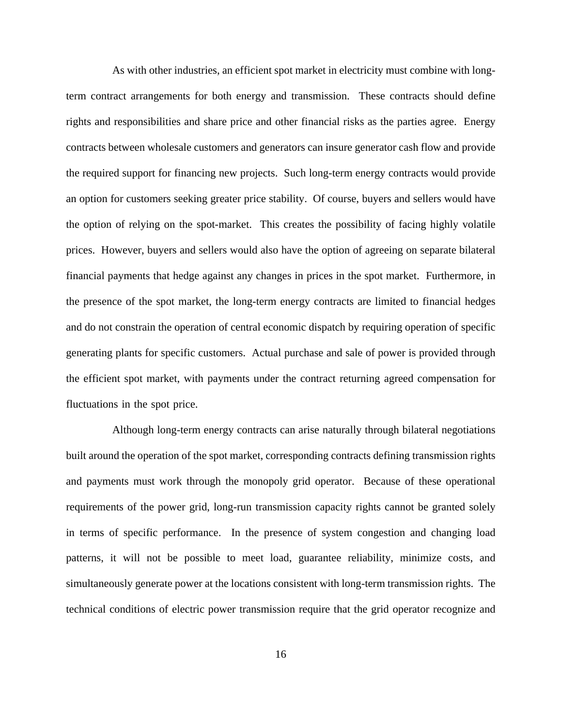As with other industries, an efficient spot market in electricity must combine with longterm contract arrangements for both energy and transmission. These contracts should define rights and responsibilities and share price and other financial risks as the parties agree. Energy contracts between wholesale customers and generators can insure generator cash flow and provide the required support for financing new projects. Such long-term energy contracts would provide an option for customers seeking greater price stability. Of course, buyers and sellers would have the option of relying on the spot-market. This creates the possibility of facing highly volatile prices. However, buyers and sellers would also have the option of agreeing on separate bilateral financial payments that hedge against any changes in prices in the spot market. Furthermore, in the presence of the spot market, the long-term energy contracts are limited to financial hedges and do not constrain the operation of central economic dispatch by requiring operation of specific generating plants for specific customers. Actual purchase and sale of power is provided through the efficient spot market, with payments under the contract returning agreed compensation for fluctuations in the spot price.

Although long-term energy contracts can arise naturally through bilateral negotiations built around the operation of the spot market, corresponding contracts defining transmission rights and payments must work through the monopoly grid operator. Because of these operational requirements of the power grid, long-run transmission capacity rights cannot be granted solely in terms of specific performance. In the presence of system congestion and changing load patterns, it will not be possible to meet load, guarantee reliability, minimize costs, and simultaneously generate power at the locations consistent with long-term transmission rights. The technical conditions of electric power transmission require that the grid operator recognize and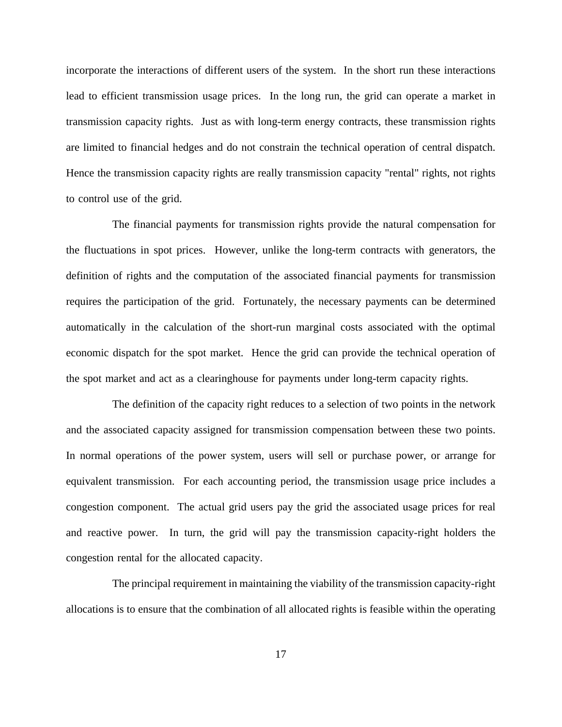incorporate the interactions of different users of the system. In the short run these interactions lead to efficient transmission usage prices. In the long run, the grid can operate a market in transmission capacity rights. Just as with long-term energy contracts, these transmission rights are limited to financial hedges and do not constrain the technical operation of central dispatch. Hence the transmission capacity rights are really transmission capacity "rental" rights, not rights to control use of the grid.

The financial payments for transmission rights provide the natural compensation for the fluctuations in spot prices. However, unlike the long-term contracts with generators, the definition of rights and the computation of the associated financial payments for transmission requires the participation of the grid. Fortunately, the necessary payments can be determined automatically in the calculation of the short-run marginal costs associated with the optimal economic dispatch for the spot market. Hence the grid can provide the technical operation of the spot market and act as a clearinghouse for payments under long-term capacity rights.

The definition of the capacity right reduces to a selection of two points in the network and the associated capacity assigned for transmission compensation between these two points. In normal operations of the power system, users will sell or purchase power, or arrange for equivalent transmission. For each accounting period, the transmission usage price includes a congestion component. The actual grid users pay the grid the associated usage prices for real and reactive power. In turn, the grid will pay the transmission capacity-right holders the congestion rental for the allocated capacity.

The principal requirement in maintaining the viability of the transmission capacity-right allocations is to ensure that the combination of all allocated rights is feasible within the operating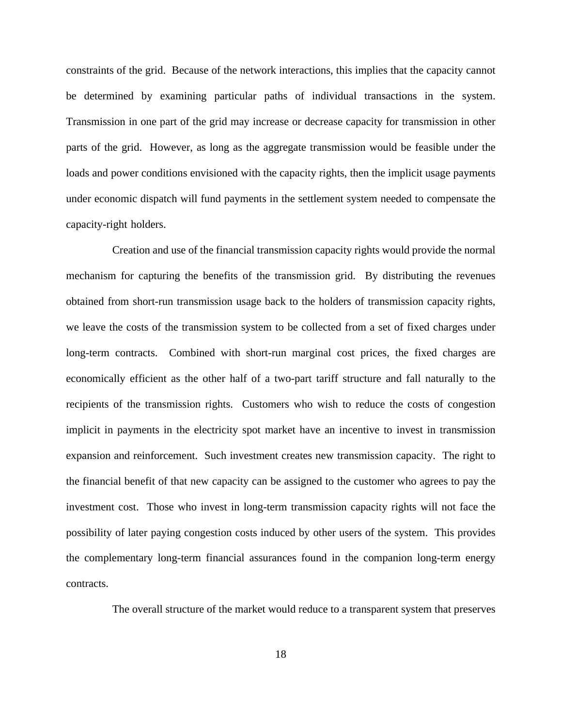constraints of the grid. Because of the network interactions, this implies that the capacity cannot be determined by examining particular paths of individual transactions in the system. Transmission in one part of the grid may increase or decrease capacity for transmission in other parts of the grid. However, as long as the aggregate transmission would be feasible under the loads and power conditions envisioned with the capacity rights, then the implicit usage payments under economic dispatch will fund payments in the settlement system needed to compensate the capacity-right holders.

Creation and use of the financial transmission capacity rights would provide the normal mechanism for capturing the benefits of the transmission grid. By distributing the revenues obtained from short-run transmission usage back to the holders of transmission capacity rights, we leave the costs of the transmission system to be collected from a set of fixed charges under long-term contracts. Combined with short-run marginal cost prices, the fixed charges are economically efficient as the other half of a two-part tariff structure and fall naturally to the recipients of the transmission rights. Customers who wish to reduce the costs of congestion implicit in payments in the electricity spot market have an incentive to invest in transmission expansion and reinforcement. Such investment creates new transmission capacity. The right to the financial benefit of that new capacity can be assigned to the customer who agrees to pay the investment cost. Those who invest in long-term transmission capacity rights will not face the possibility of later paying congestion costs induced by other users of the system. This provides the complementary long-term financial assurances found in the companion long-term energy contracts.

The overall structure of the market would reduce to a transparent system that preserves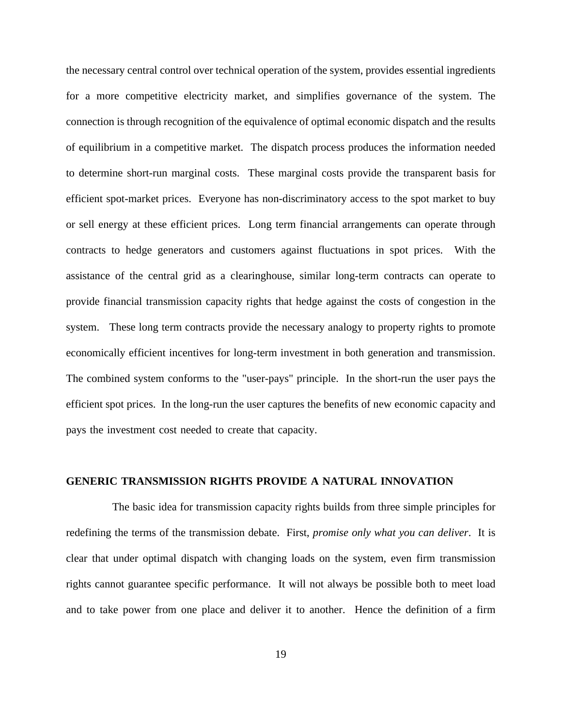the necessary central control over technical operation of the system, provides essential ingredients for a more competitive electricity market, and simplifies governance of the system. The connection is through recognition of the equivalence of optimal economic dispatch and the results of equilibrium in a competitive market. The dispatch process produces the information needed to determine short-run marginal costs. These marginal costs provide the transparent basis for efficient spot-market prices. Everyone has non-discriminatory access to the spot market to buy or sell energy at these efficient prices. Long term financial arrangements can operate through contracts to hedge generators and customers against fluctuations in spot prices. With the assistance of the central grid as a clearinghouse, similar long-term contracts can operate to provide financial transmission capacity rights that hedge against the costs of congestion in the system. These long term contracts provide the necessary analogy to property rights to promote economically efficient incentives for long-term investment in both generation and transmission. The combined system conforms to the "user-pays" principle. In the short-run the user pays the efficient spot prices. In the long-run the user captures the benefits of new economic capacity and pays the investment cost needed to create that capacity.

## **GENERIC TRANSMISSION RIGHTS PROVIDE A NATURAL INNOVATION**

The basic idea for transmission capacity rights builds from three simple principles for redefining the terms of the transmission debate. First, *promise only what you can deliver*. It is clear that under optimal dispatch with changing loads on the system, even firm transmission rights cannot guarantee specific performance. It will not always be possible both to meet load and to take power from one place and deliver it to another. Hence the definition of a firm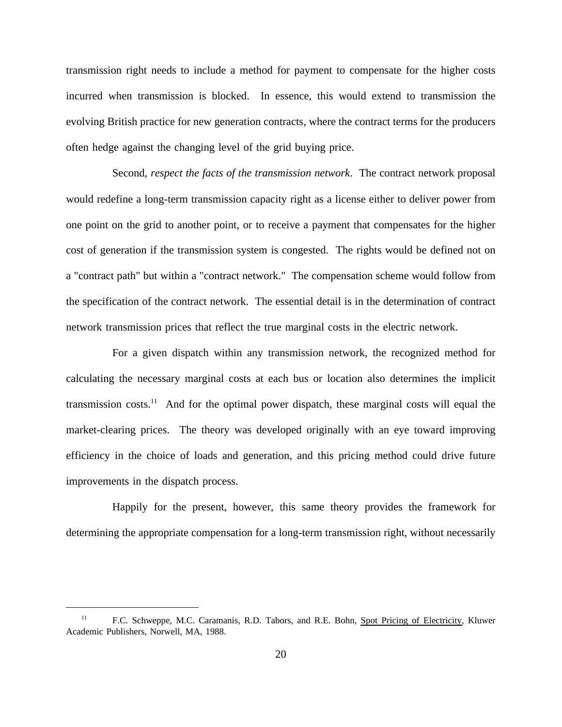transmission right needs to include a method for payment to compensate for the higher costs incurred when transmission is blocked. In essence, this would extend to transmission the evolving British practice for new generation contracts, where the contract terms for the producers often hedge against the changing level of the grid buying price.

Second, *respect the facts of the transmission network*. The contract network proposal would redefine a long-term transmission capacity right as a license either to deliver power from one point on the grid to another point, or to receive a payment that compensates for the higher cost of generation if the transmission system is congested. The rights would be defined not on a "contract path" but within a "contract network." The compensation scheme would follow from the specification of the contract network. The essential detail is in the determination of contract network transmission prices that reflect the true marginal costs in the electric network.

For a given dispatch within any transmission network, the recognized method for calculating the necessary marginal costs at each bus or location also determines the implicit transmission costs.<sup>11</sup> And for the optimal power dispatch, these marginal costs will equal the market-clearing prices. The theory was developed originally with an eye toward improving efficiency in the choice of loads and generation, and this pricing method could drive future improvements in the dispatch process.

Happily for the present, however, this same theory provides the framework for determining the appropriate compensation for a long-term transmission right, without necessarily

<sup>&</sup>lt;sup>11</sup> F.C. Schweppe, M.C. Caramanis, R.D. Tabors, and R.E. Bohn, Spot Pricing of Electricity, Kluwer Academic Publishers, Norwell, MA, 1988.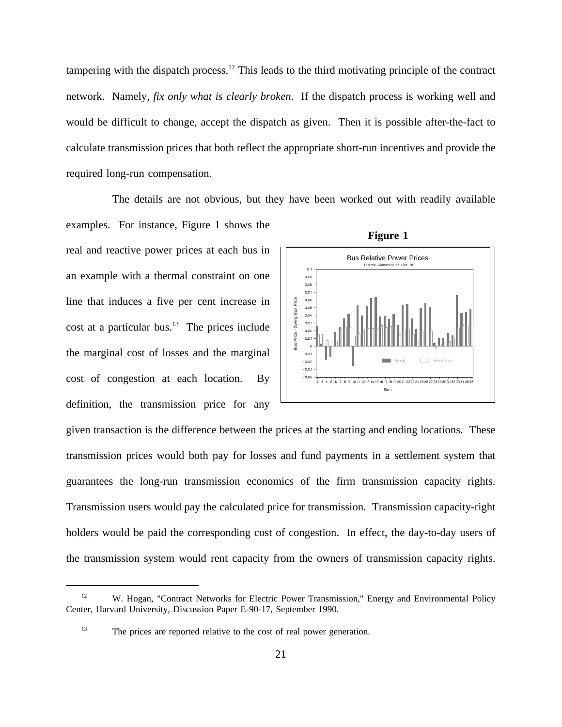tampering with the dispatch process.12 This leads to the third motivating principle of the contract network. Namely, *fix only what is clearly broken*. If the dispatch process is working well and would be difficult to change, accept the dispatch as given. Then it is possible after-the-fact to calculate transmission prices that both reflect the appropriate short-run incentives and provide the required long-run compensation.

The details are not obvious, but they have been worked out with readily available

examples. For instance, Figure 1 shows the real and reactive power prices at each bus in an example with a thermal constraint on one line that induces a five per cent increase in cost at a particular bus.<sup>13</sup> The prices include the marginal cost of losses and the marginal cost of congestion at each location. By definition, the transmission price for any



**Figure 1**

given transaction is the difference between the prices at the starting and ending locations. These transmission prices would both pay for losses and fund payments in a settlement system that guarantees the long-run transmission economics of the firm transmission capacity rights. Transmission users would pay the calculated price for transmission. Transmission capacity-right holders would be paid the corresponding cost of congestion. In effect, the day-to-day users of the transmission system would rent capacity from the owners of transmission capacity rights.

<sup>&</sup>lt;sup>12</sup> W. Hogan, "Contract Networks for Electric Power Transmission," Energy and Environmental Policy Center, Harvard University, Discussion Paper E-90-17, September 1990.

<sup>&</sup>lt;sup>13</sup> The prices are reported relative to the cost of real power generation.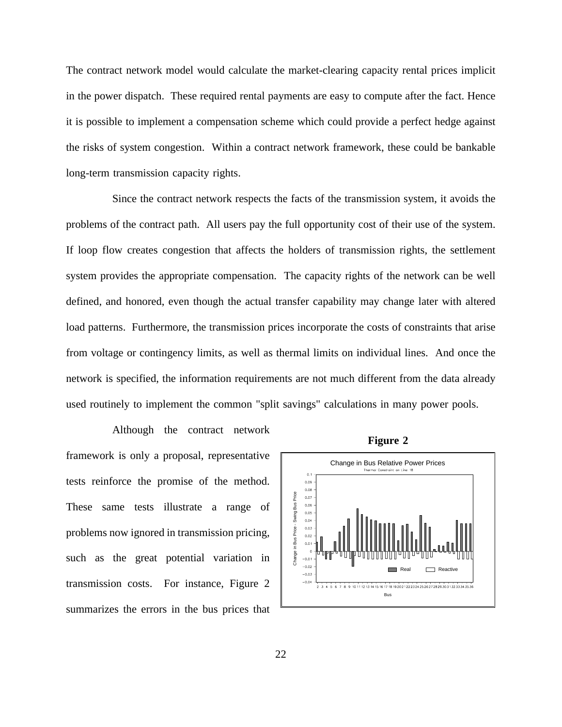The contract network model would calculate the market-clearing capacity rental prices implicit in the power dispatch. These required rental payments are easy to compute after the fact. Hence it is possible to implement a compensation scheme which could provide a perfect hedge against the risks of system congestion. Within a contract network framework, these could be bankable long-term transmission capacity rights.

Since the contract network respects the facts of the transmission system, it avoids the problems of the contract path. All users pay the full opportunity cost of their use of the system. If loop flow creates congestion that affects the holders of transmission rights, the settlement system provides the appropriate compensation. The capacity rights of the network can be well defined, and honored, even though the actual transfer capability may change later with altered load patterns. Furthermore, the transmission prices incorporate the costs of constraints that arise from voltage or contingency limits, as well as thermal limits on individual lines. And once the network is specified, the information requirements are not much different from the data already used routinely to implement the common "split savings" calculations in many power pools.

Although the contract network framework is only a proposal, representative tests reinforce the promise of the method. These same tests illustrate a range of problems now ignored in transmission pricing, such as the great potential variation in transmission costs. For instance, Figure 2 summarizes the errors in the bus prices that



**Figure 2**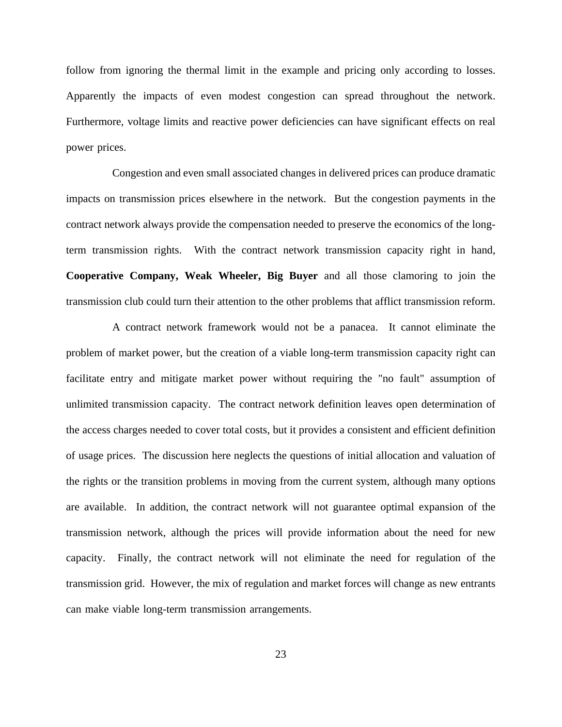follow from ignoring the thermal limit in the example and pricing only according to losses. Apparently the impacts of even modest congestion can spread throughout the network. Furthermore, voltage limits and reactive power deficiencies can have significant effects on real power prices.

Congestion and even small associated changes in delivered prices can produce dramatic impacts on transmission prices elsewhere in the network. But the congestion payments in the contract network always provide the compensation needed to preserve the economics of the longterm transmission rights. With the contract network transmission capacity right in hand, **Cooperative Company, Weak Wheeler, Big Buyer** and all those clamoring to join the transmission club could turn their attention to the other problems that afflict transmission reform.

A contract network framework would not be a panacea. It cannot eliminate the problem of market power, but the creation of a viable long-term transmission capacity right can facilitate entry and mitigate market power without requiring the "no fault" assumption of unlimited transmission capacity. The contract network definition leaves open determination of the access charges needed to cover total costs, but it provides a consistent and efficient definition of usage prices. The discussion here neglects the questions of initial allocation and valuation of the rights or the transition problems in moving from the current system, although many options are available. In addition, the contract network will not guarantee optimal expansion of the transmission network, although the prices will provide information about the need for new capacity. Finally, the contract network will not eliminate the need for regulation of the transmission grid. However, the mix of regulation and market forces will change as new entrants can make viable long-term transmission arrangements.